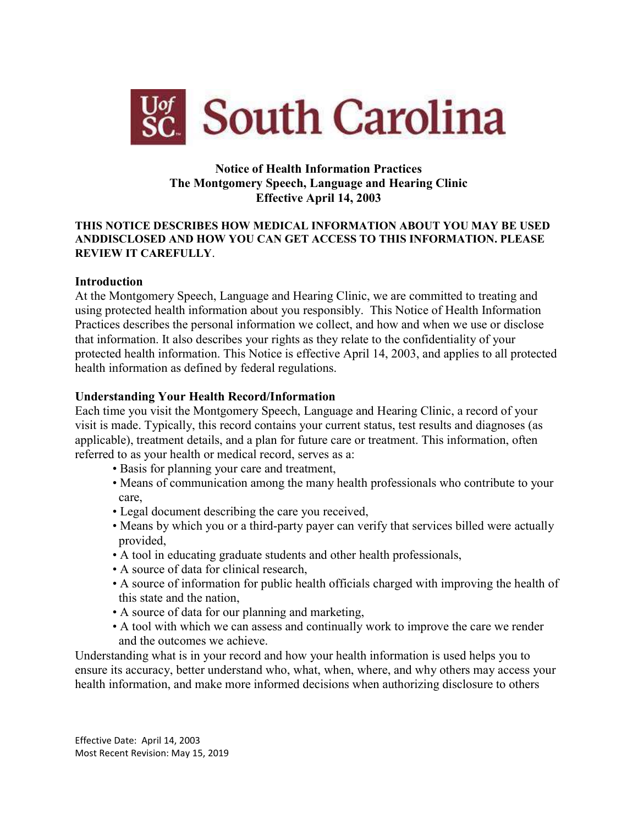

## Notice of Health Information Practices The Montgomery Speech, Language and Hearing Clinic Effective April 14, 2003

### THIS NOTICE DESCRIBES HOW MEDICAL INFORMATION ABOUT YOU MAY BE USED ANDDISCLOSED AND HOW YOU CAN GET ACCESS TO THIS INFORMATION. PLEASE REVIEW IT CAREFULLY.

### Introduction

At the Montgomery Speech, Language and Hearing Clinic, we are committed to treating and using protected health information about you responsibly. This Notice of Health Information Practices describes the personal information we collect, and how and when we use or disclose that information. It also describes your rights as they relate to the confidentiality of your protected health information. This Notice is effective April 14, 2003, and applies to all protected health information as defined by federal regulations.

## Understanding Your Health Record/Information

Each time you visit the Montgomery Speech, Language and Hearing Clinic, a record of your visit is made. Typically, this record contains your current status, test results and diagnoses (as applicable), treatment details, and a plan for future care or treatment. This information, often referred to as your health or medical record, serves as a:

- Basis for planning your care and treatment,
- Means of communication among the many health professionals who contribute to your care,
- Legal document describing the care you received,
- Means by which you or a third-party payer can verify that services billed were actually provided,
- A tool in educating graduate students and other health professionals,
- A source of data for clinical research,
- A source of information for public health officials charged with improving the health of this state and the nation,
- A source of data for our planning and marketing,
- A tool with which we can assess and continually work to improve the care we render and the outcomes we achieve.

Understanding what is in your record and how your health information is used helps you to ensure its accuracy, better understand who, what, when, where, and why others may access your health information, and make more informed decisions when authorizing disclosure to others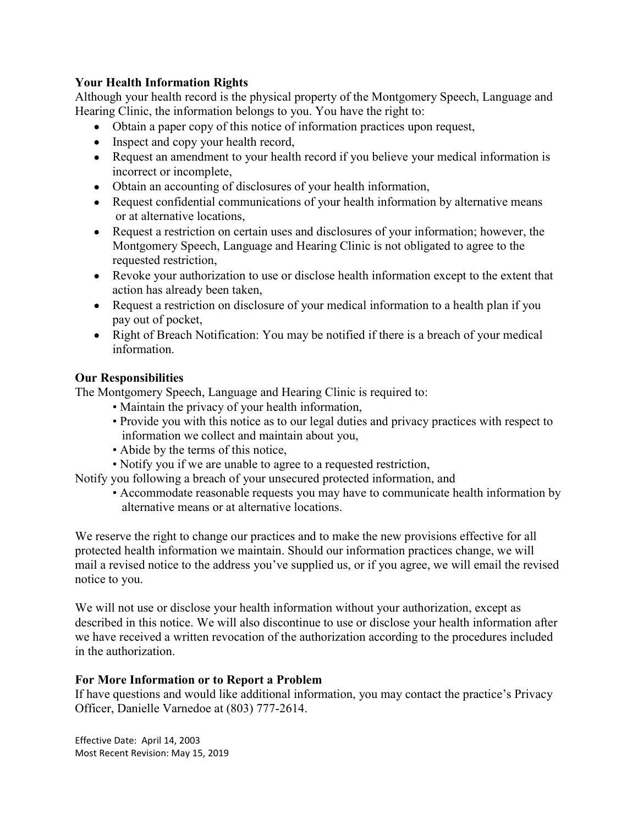## Your Health Information Rights

Although your health record is the physical property of the Montgomery Speech, Language and Hearing Clinic, the information belongs to you. You have the right to:

- Obtain a paper copy of this notice of information practices upon request,
- Inspect and copy your health record,
- Request an amendment to your health record if you believe your medical information is incorrect or incomplete,
- Obtain an accounting of disclosures of your health information,
- Request confidential communications of your health information by alternative means or at alternative locations,
- Request a restriction on certain uses and disclosures of your information; however, the Montgomery Speech, Language and Hearing Clinic is not obligated to agree to the requested restriction,
- Revoke your authorization to use or disclose health information except to the extent that action has already been taken,
- Request a restriction on disclosure of your medical information to a health plan if you pay out of pocket,
- Right of Breach Notification: You may be notified if there is a breach of your medical information.

# Our Responsibilities

The Montgomery Speech, Language and Hearing Clinic is required to:

- Maintain the privacy of your health information,
- Provide you with this notice as to our legal duties and privacy practices with respect to information we collect and maintain about you,
- Abide by the terms of this notice,
- Notify you if we are unable to agree to a requested restriction,

Notify you following a breach of your unsecured protected information, and

• Accommodate reasonable requests you may have to communicate health information by alternative means or at alternative locations.

We reserve the right to change our practices and to make the new provisions effective for all protected health information we maintain. Should our information practices change, we will mail a revised notice to the address you've supplied us, or if you agree, we will email the revised notice to you.

We will not use or disclose your health information without your authorization, except as described in this notice. We will also discontinue to use or disclose your health information after we have received a written revocation of the authorization according to the procedures included in the authorization.

## For More Information or to Report a Problem

If have questions and would like additional information, you may contact the practice's Privacy Officer, Danielle Varnedoe at (803) 777-2614.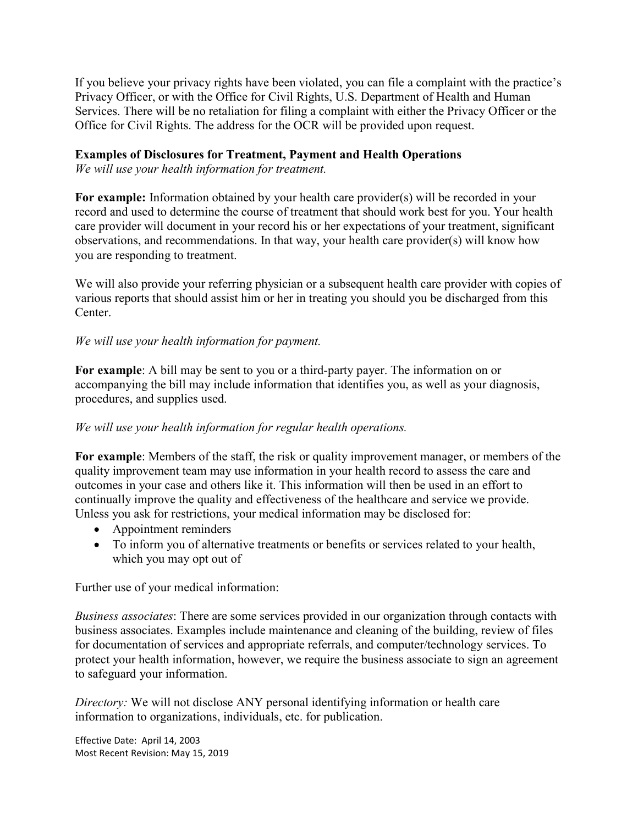If you believe your privacy rights have been violated, you can file a complaint with the practice's Privacy Officer, or with the Office for Civil Rights, U.S. Department of Health and Human Services. There will be no retaliation for filing a complaint with either the Privacy Officer or the Office for Civil Rights. The address for the OCR will be provided upon request.

# Examples of Disclosures for Treatment, Payment and Health Operations

We will use your health information for treatment.

For example: Information obtained by your health care provider(s) will be recorded in your record and used to determine the course of treatment that should work best for you. Your health care provider will document in your record his or her expectations of your treatment, significant observations, and recommendations. In that way, your health care provider(s) will know how you are responding to treatment.

We will also provide your referring physician or a subsequent health care provider with copies of various reports that should assist him or her in treating you should you be discharged from this **Center** 

## We will use your health information for payment.

For example: A bill may be sent to you or a third-party payer. The information on or accompanying the bill may include information that identifies you, as well as your diagnosis, procedures, and supplies used.

## We will use your health information for regular health operations.

For example: Members of the staff, the risk or quality improvement manager, or members of the quality improvement team may use information in your health record to assess the care and outcomes in your case and others like it. This information will then be used in an effort to continually improve the quality and effectiveness of the healthcare and service we provide. Unless you ask for restrictions, your medical information may be disclosed for:

- Appointment reminders
- To inform you of alternative treatments or benefits or services related to your health, which you may opt out of

Further use of your medical information:

Business associates: There are some services provided in our organization through contacts with business associates. Examples include maintenance and cleaning of the building, review of files for documentation of services and appropriate referrals, and computer/technology services. To protect your health information, however, we require the business associate to sign an agreement to safeguard your information.

Directory: We will not disclose ANY personal identifying information or health care information to organizations, individuals, etc. for publication.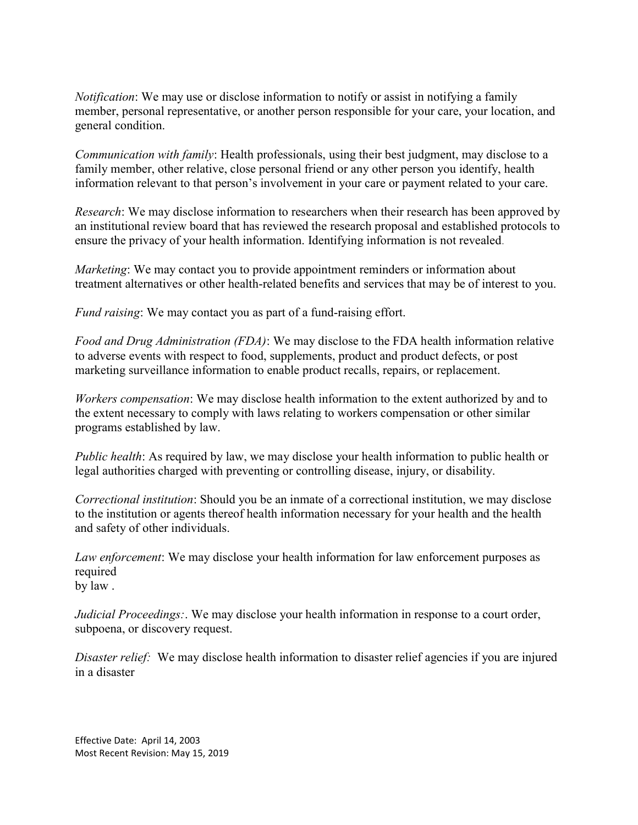Notification: We may use or disclose information to notify or assist in notifying a family member, personal representative, or another person responsible for your care, your location, and general condition.

Communication with family: Health professionals, using their best judgment, may disclose to a family member, other relative, close personal friend or any other person you identify, health information relevant to that person's involvement in your care or payment related to your care.

Research: We may disclose information to researchers when their research has been approved by an institutional review board that has reviewed the research proposal and established protocols to ensure the privacy of your health information. Identifying information is not revealed.

Marketing: We may contact you to provide appointment reminders or information about treatment alternatives or other health-related benefits and services that may be of interest to you.

Fund raising: We may contact you as part of a fund-raising effort.

Food and Drug Administration (FDA): We may disclose to the FDA health information relative to adverse events with respect to food, supplements, product and product defects, or post marketing surveillance information to enable product recalls, repairs, or replacement.

Workers compensation: We may disclose health information to the extent authorized by and to the extent necessary to comply with laws relating to workers compensation or other similar programs established by law.

Public health: As required by law, we may disclose your health information to public health or legal authorities charged with preventing or controlling disease, injury, or disability.

Correctional institution: Should you be an inmate of a correctional institution, we may disclose to the institution or agents thereof health information necessary for your health and the health and safety of other individuals.

Law enforcement: We may disclose your health information for law enforcement purposes as required

by law .

Judicial Proceedings:. We may disclose your health information in response to a court order, subpoena, or discovery request.

Disaster relief: We may disclose health information to disaster relief agencies if you are injured in a disaster